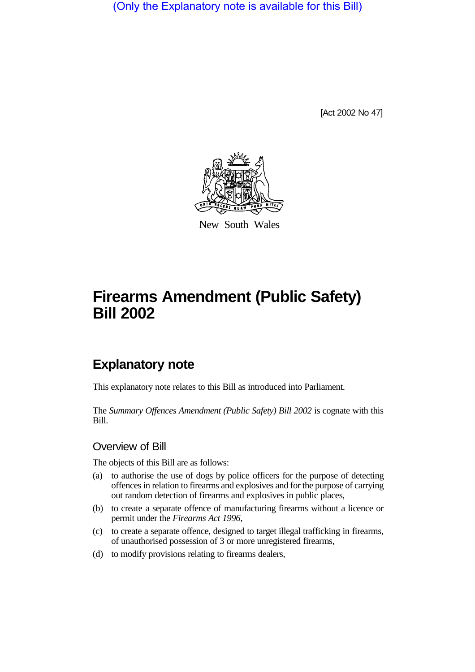(Only the Explanatory note is available for this Bill)

[Act 2002 No 47]



New South Wales

# **Firearms Amendment (Public Safety) Bill 2002**

# **Explanatory note**

This explanatory note relates to this Bill as introduced into Parliament.

The *Summary Offences Amendment (Public Safety) Bill 2002* is cognate with this Bill.

#### Overview of Bill

The objects of this Bill are as follows:

- (a) to authorise the use of dogs by police officers for the purpose of detecting offences in relation to firearms and explosives and for the purpose of carrying out random detection of firearms and explosives in public places,
- (b) to create a separate offence of manufacturing firearms without a licence or permit under the *Firearms Act 1996*,
- (c) to create a separate offence, designed to target illegal trafficking in firearms, of unauthorised possession of 3 or more unregistered firearms,
- (d) to modify provisions relating to firearms dealers,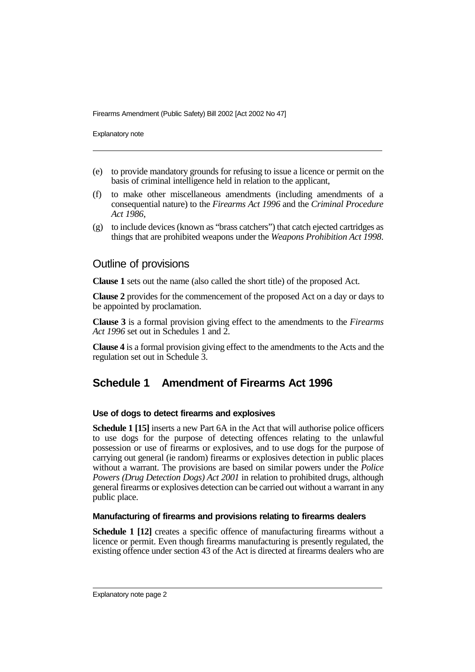Explanatory note

- (e) to provide mandatory grounds for refusing to issue a licence or permit on the basis of criminal intelligence held in relation to the applicant,
- (f) to make other miscellaneous amendments (including amendments of a consequential nature) to the *Firearms Act 1996* and the *Criminal Procedure Act 1986*,
- (g) to include devices (known as "brass catchers") that catch ejected cartridges as things that are prohibited weapons under the *Weapons Prohibition Act 1998*.

## Outline of provisions

**Clause 1** sets out the name (also called the short title) of the proposed Act.

**Clause 2** provides for the commencement of the proposed Act on a day or days to be appointed by proclamation.

**Clause 3** is a formal provision giving effect to the amendments to the *Firearms Act 1996* set out in Schedules 1 and 2.

**Clause 4** is a formal provision giving effect to the amendments to the Acts and the regulation set out in Schedule 3.

# **Schedule 1 Amendment of Firearms Act 1996**

#### **Use of dogs to detect firearms and explosives**

**Schedule 1 [15]** inserts a new Part 6A in the Act that will authorise police officers to use dogs for the purpose of detecting offences relating to the unlawful possession or use of firearms or explosives, and to use dogs for the purpose of carrying out general (ie random) firearms or explosives detection in public places without a warrant. The provisions are based on similar powers under the *Police Powers (Drug Detection Dogs) Act 2001* in relation to prohibited drugs, although general firearms or explosives detection can be carried out without a warrant in any public place.

#### **Manufacturing of firearms and provisions relating to firearms dealers**

**Schedule 1 [12]** creates a specific offence of manufacturing firearms without a licence or permit. Even though firearms manufacturing is presently regulated, the existing offence under section 43 of the Act is directed at firearms dealers who are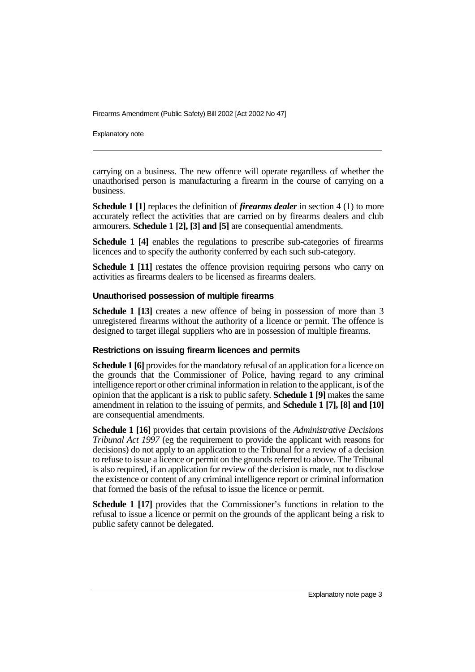Explanatory note

carrying on a business. The new offence will operate regardless of whether the unauthorised person is manufacturing a firearm in the course of carrying on a business.

**Schedule 1** [1] replaces the definition of *firearms dealer* in section 4 (1) to more accurately reflect the activities that are carried on by firearms dealers and club armourers. **Schedule 1 [2], [3] and [5]** are consequential amendments.

**Schedule 1 [4]** enables the regulations to prescribe sub-categories of firearms licences and to specify the authority conferred by each such sub-category.

**Schedule 1 [11]** restates the offence provision requiring persons who carry on activities as firearms dealers to be licensed as firearms dealers.

#### **Unauthorised possession of multiple firearms**

**Schedule 1 [13]** creates a new offence of being in possession of more than 3 unregistered firearms without the authority of a licence or permit. The offence is designed to target illegal suppliers who are in possession of multiple firearms.

#### **Restrictions on issuing firearm licences and permits**

**Schedule 1 [6]** provides for the mandatory refusal of an application for a licence on the grounds that the Commissioner of Police, having regard to any criminal intelligence report or other criminal information in relation to the applicant, is of the opinion that the applicant is a risk to public safety. **Schedule 1 [9]** makes the same amendment in relation to the issuing of permits, and **Schedule 1 [7], [8] and [10]** are consequential amendments.

**Schedule 1 [16]** provides that certain provisions of the *Administrative Decisions Tribunal Act 1997* (eg the requirement to provide the applicant with reasons for decisions) do not apply to an application to the Tribunal for a review of a decision to refuse to issue a licence or permit on the grounds referred to above. The Tribunal is also required, if an application for review of the decision is made, not to disclose the existence or content of any criminal intelligence report or criminal information that formed the basis of the refusal to issue the licence or permit.

**Schedule 1 [17]** provides that the Commissioner's functions in relation to the refusal to issue a licence or permit on the grounds of the applicant being a risk to public safety cannot be delegated.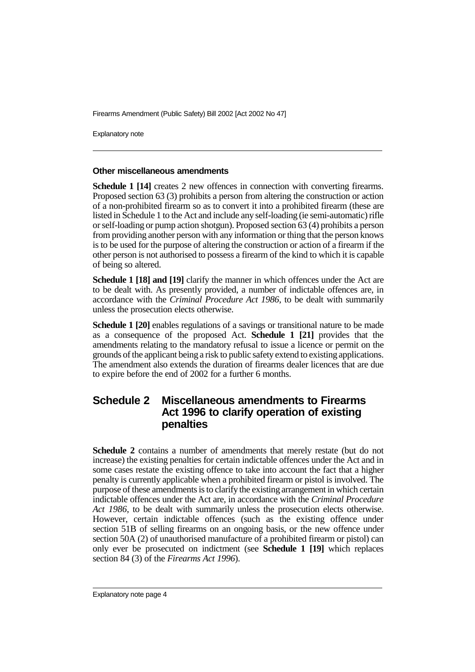Explanatory note

#### **Other miscellaneous amendments**

**Schedule 1 [14]** creates 2 new offences in connection with converting firearms. Proposed section 63 (3) prohibits a person from altering the construction or action of a non-prohibited firearm so as to convert it into a prohibited firearm (these are listed in Schedule 1 to the Act and include any self-loading (ie semi-automatic) rifle or self-loading or pump action shotgun). Proposed section 63 (4) prohibits a person from providing another person with any information or thing that the person knows is to be used for the purpose of altering the construction or action of a firearm if the other person is not authorised to possess a firearm of the kind to which it is capable of being so altered.

**Schedule 1 [18] and [19]** clarify the manner in which offences under the Act are to be dealt with. As presently provided, a number of indictable offences are, in accordance with the *Criminal Procedure Act 1986*, to be dealt with summarily unless the prosecution elects otherwise.

**Schedule 1 [20]** enables regulations of a savings or transitional nature to be made as a consequence of the proposed Act. **Schedule 1 [21]** provides that the amendments relating to the mandatory refusal to issue a licence or permit on the grounds of the applicant being a risk to public safety extend to existing applications. The amendment also extends the duration of firearms dealer licences that are due to expire before the end of 2002 for a further 6 months.

### **Schedule 2 Miscellaneous amendments to Firearms Act 1996 to clarify operation of existing penalties**

**Schedule 2** contains a number of amendments that merely restate (but do not increase) the existing penalties for certain indictable offences under the Act and in some cases restate the existing offence to take into account the fact that a higher penalty is currently applicable when a prohibited firearm or pistol is involved. The purpose of these amendments is to clarify the existing arrangement in which certain indictable offences under the Act are, in accordance with the *Criminal Procedure Act 1986*, to be dealt with summarily unless the prosecution elects otherwise. However, certain indictable offences (such as the existing offence under section 51B of selling firearms on an ongoing basis, or the new offence under section 50A (2) of unauthorised manufacture of a prohibited firearm or pistol) can only ever be prosecuted on indictment (see **Schedule 1 [19]** which replaces section 84 (3) of the *Firearms Act 1996*).